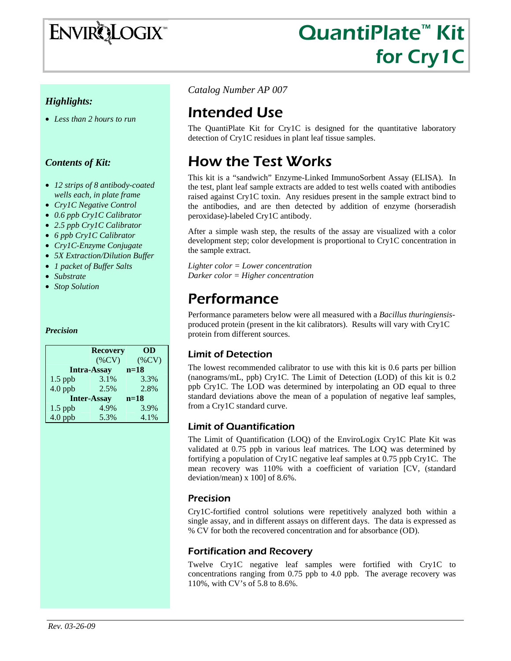# ENVIRQLOGIX

# QuantiPlate™ Kit for Cry1C

#### *Highlights:*

• *Less than 2 hours to run* 

#### *Contents of Kit:*

- *12 strips of 8 antibody-coated wells each, in plate frame*
- *Cry1C Negative Control*
- *0.6 ppb Cry1C Calibrator*
- *2.5 ppb Cry1C Calibrator*
- *6 ppb Cry1C Calibrator*
- *Cry1C-Enzyme Conjugate*
- *5X Extraction/Dilution Buffer*
- *1 packet of Buffer Salts*
- *Substrate*
- *Stop Solution*

#### *Precision*

|           | OD<br><b>Recovery</b> |          |
|-----------|-----------------------|----------|
|           | $(\%CV)$              | $(\%CV)$ |
|           | <b>Intra-Assay</b>    | $n=18$   |
| $1.5$ ppb | 3.1%                  | 3.3%     |
| $4.0$ ppb | 2.5%                  | 2.8%     |
|           | <b>Inter-Assay</b>    | $n=18$   |
| $1.5$ ppb | 4.9%                  | 3.9%     |
| $4.0$ ppb | 5.3%                  | 4.1%     |

*Catalog Number AP 007*

### Intended Use

The QuantiPlate Kit for Cry1C is designed for the quantitative laboratory detection of Cry1C residues in plant leaf tissue samples.

### How the Test Works

This kit is a "sandwich" Enzyme-Linked ImmunoSorbent Assay (ELISA). In the test, plant leaf sample extracts are added to test wells coated with antibodies raised against Cry1C toxin. Any residues present in the sample extract bind to the antibodies, and are then detected by addition of enzyme (horseradish peroxidase)-labeled Cry1C antibody.

After a simple wash step, the results of the assay are visualized with a color development step; color development is proportional to Cry1C concentration in the sample extract.

*Lighter color = Lower concentration Darker color = Higher concentration* 

### Performance

Performance parameters below were all measured with a *Bacillus thuringiensis*produced protein (present in the kit calibrators). Results will vary with Cry1C protein from different sources.

#### Limit of Detection

The lowest recommended calibrator to use with this kit is 0.6 parts per billion (nanograms/mL, ppb) Cry1C. The Limit of Detection (LOD) of this kit is 0.2 ppb Cry1C. The LOD was determined by interpolating an OD equal to three standard deviations above the mean of a population of negative leaf samples, from a Cry1C standard curve.

#### Limit of Quantification

The Limit of Quantification (LOQ) of the EnviroLogix Cry1C Plate Kit was validated at 0.75 ppb in various leaf matrices. The LOQ was determined by fortifying a population of Cry1C negative leaf samples at 0.75 ppb Cry1C. The mean recovery was 110% with a coefficient of variation [CV, (standard deviation/mean) x 100] of 8.6%.

#### Precision

Cry1C-fortified control solutions were repetitively analyzed both within a single assay, and in different assays on different days. The data is expressed as % CV for both the recovered concentration and for absorbance (OD).

#### Fortification and Recovery

Twelve Cry1C negative leaf samples were fortified with Cry1C to concentrations ranging from 0.75 ppb to 4.0 ppb. The average recovery was 110%, with CV's of 5.8 to 8.6%.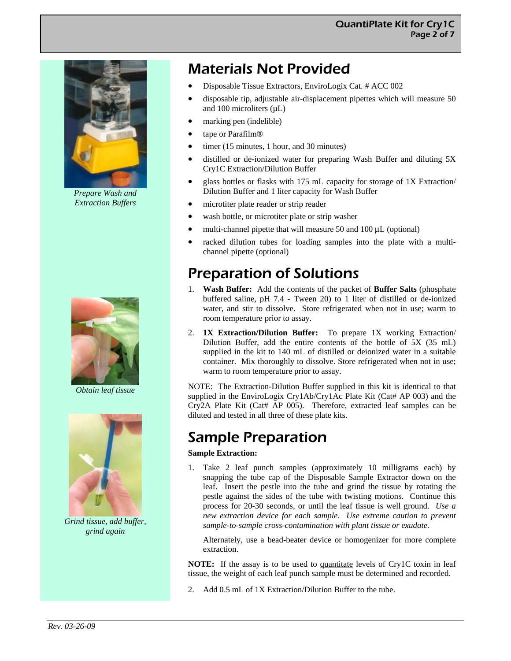

*Prepare Wash and Extraction Buffers* 



*Obtain leaf tissue* 



*Grind tissue, add buffer, grind again* 

## Materials Not Provided

- Disposable Tissue Extractors, EnviroLogix Cat. # ACC 002
- disposable tip, adjustable air-displacement pipettes which will measure 50 and 100 microliters  $(\mu L)$
- marking pen (indelible)
- tape or Parafilm®
- timer (15 minutes, 1 hour, and 30 minutes)
- distilled or de-ionized water for preparing Wash Buffer and diluting 5X Cry1C Extraction/Dilution Buffer
- glass bottles or flasks with 175 mL capacity for storage of 1X Extraction/ Dilution Buffer and 1 liter capacity for Wash Buffer
- microtiter plate reader or strip reader
- wash bottle, or microtiter plate or strip washer
- multi-channel pipette that will measure 50 and 100 μL (optional)
- racked dilution tubes for loading samples into the plate with a multichannel pipette (optional)

### Preparation of Solutions

- 1. **Wash Buffer:** Add the contents of the packet of **Buffer Salts** (phosphate buffered saline, pH 7.4 - Tween 20) to 1 liter of distilled or de-ionized water, and stir to dissolve. Store refrigerated when not in use; warm to room temperature prior to assay.
- 2. **1X Extraction/Dilution Buffer:** To prepare 1X working Extraction/ Dilution Buffer, add the entire contents of the bottle of 5X (35 mL) supplied in the kit to 140 mL of distilled or deionized water in a suitable container. Mix thoroughly to dissolve. Store refrigerated when not in use; warm to room temperature prior to assay.

NOTE: The Extraction-Dilution Buffer supplied in this kit is identical to that supplied in the EnviroLogix Cry1Ab/Cry1Ac Plate Kit (Cat# AP 003) and the Cry2A Plate Kit (Cat# AP 005). Therefore, extracted leaf samples can be diluted and tested in all three of these plate kits.

## Sample Preparation

#### **Sample Extraction:**

1. Take 2 leaf punch samples (approximately 10 milligrams each) by snapping the tube cap of the Disposable Sample Extractor down on the leaf. Insert the pestle into the tube and grind the tissue by rotating the pestle against the sides of the tube with twisting motions. Continue this process for 20-30 seconds, or until the leaf tissue is well ground. *Use a new extraction device for each sample. Use extreme caution to prevent sample-to-sample cross-contamination with plant tissue or exudate.* 

Alternately, use a bead-beater device or homogenizer for more complete extraction.

**NOTE:** If the assay is to be used to quantitate levels of Cry1C toxin in leaf tissue, the weight of each leaf punch sample must be determined and recorded.

2. Add 0.5 mL of 1X Extraction/Dilution Buffer to the tube.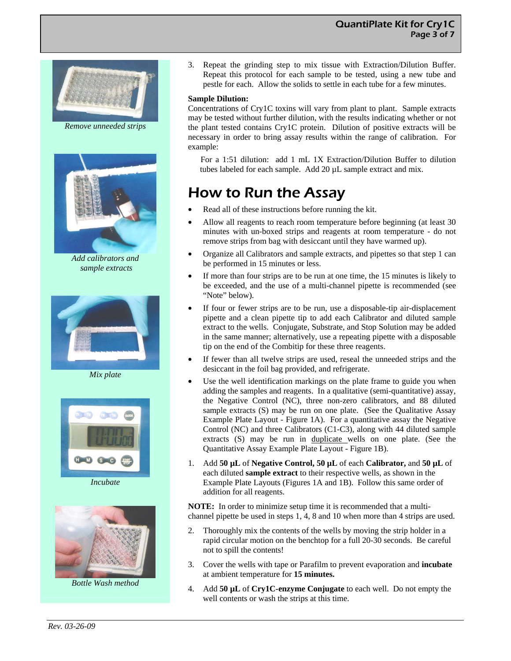#### QuantiPlate Kit for Cry1C Page 3 of 7



*Remove unneeded strips* 



*Add calibrators and sample extracts* 



*Mix plate* 



*Incubate* 



*Bottle Wash method* 

3. Repeat the grinding step to mix tissue with Extraction/Dilution Buffer. Repeat this protocol for each sample to be tested, using a new tube and pestle for each. Allow the solids to settle in each tube for a few minutes.

#### **Sample Dilution:**

Concentrations of Cry1C toxins will vary from plant to plant. Sample extracts may be tested without further dilution, with the results indicating whether or not the plant tested contains Cry1C protein. Dilution of positive extracts will be necessary in order to bring assay results within the range of calibration. For example:

 For a 1:51 dilution: add 1 mL 1X Extraction/Dilution Buffer to dilution tubes labeled for each sample. Add 20 µL sample extract and mix.

### How to Run the Assay

- Read all of these instructions before running the kit.
- Allow all reagents to reach room temperature before beginning (at least 30 minutes with un-boxed strips and reagents at room temperature - do not remove strips from bag with desiccant until they have warmed up).
- Organize all Calibrators and sample extracts, and pipettes so that step 1 can be performed in 15 minutes or less.
- If more than four strips are to be run at one time, the 15 minutes is likely to be exceeded, and the use of a multi-channel pipette is recommended (see "Note" below).
- If four or fewer strips are to be run, use a disposable-tip air-displacement pipette and a clean pipette tip to add each Calibrator and diluted sample extract to the wells. Conjugate, Substrate, and Stop Solution may be added in the same manner; alternatively, use a repeating pipette with a disposable tip on the end of the Combitip for these three reagents.
- If fewer than all twelve strips are used, reseal the unneeded strips and the desiccant in the foil bag provided, and refrigerate.
- Use the well identification markings on the plate frame to guide you when adding the samples and reagents. In a qualitative (semi-quantitative) assay, the Negative Control (NC), three non-zero calibrators, and 88 diluted sample extracts (S) may be run on one plate. (See the Qualitative Assay Example Plate Layout - Figure 1A). For a quantitative assay the Negative Control (NC) and three Calibrators (C1-C3), along with 44 diluted sample extracts (S) may be run in duplicate wells on one plate. (See the Quantitative Assay Example Plate Layout - Figure 1B).
- 1. Add **50 µL** of **Negative Control, 50 µL** of each **Calibrator,** and **50 µL** of each diluted **sample extract** to their respective wells, as shown in the Example Plate Layouts (Figures 1A and 1B). Follow this same order of addition for all reagents.

**NOTE:** In order to minimize setup time it is recommended that a multichannel pipette be used in steps 1, 4, 8 and 10 when more than 4 strips are used.

- 2. Thoroughly mix the contents of the wells by moving the strip holder in a rapid circular motion on the benchtop for a full 20-30 seconds. Be careful not to spill the contents!
- 3. Cover the wells with tape or Parafilm to prevent evaporation and **incubate**  at ambient temperature for **15 minutes.**
- 4. Add **50 µL** of **Cry1C-enzyme Conjugate** to each well. Do not empty the well contents or wash the strips at this time.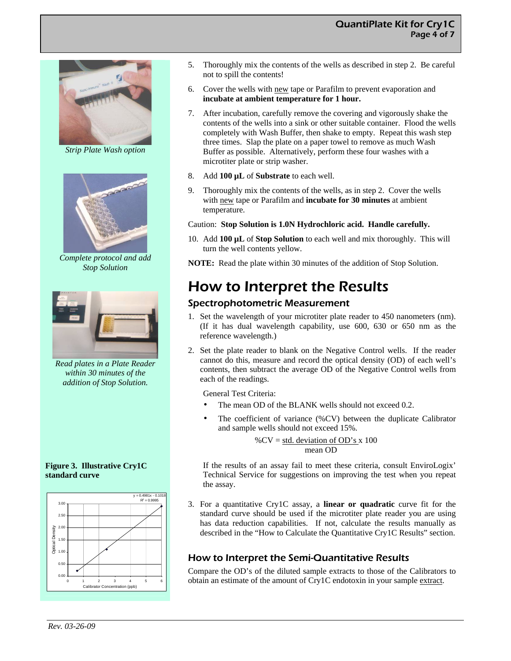#### QuantiPlate Kit for Cry1C Page 4 of 7



*Strip Plate Wash option* 



*Complete protocol and add Stop Solution* 



*Read plates in a Plate Reader within 30 minutes of the addition of Stop Solution.* 

**Figure 3. Illustrative Cry1C standard curve** 



- 5. Thoroughly mix the contents of the wells as described in step 2. Be careful not to spill the contents!
- 6. Cover the wells with new tape or Parafilm to prevent evaporation and **incubate at ambient temperature for 1 hour.**
- 7. After incubation, carefully remove the covering and vigorously shake the contents of the wells into a sink or other suitable container. Flood the wells completely with Wash Buffer, then shake to empty. Repeat this wash step three times. Slap the plate on a paper towel to remove as much Wash Buffer as possible. Alternatively, perform these four washes with a microtiter plate or strip washer.
- 8. Add **100 µL** of **Substrate** to each well.
- 9. Thoroughly mix the contents of the wells, as in step 2. Cover the wells with new tape or Parafilm and **incubate for 30 minutes** at ambient temperature.

Caution: **Stop Solution is 1.0N Hydrochloric acid. Handle carefully.** 

10. Add **100 µL** of **Stop Solution** to each well and mix thoroughly. This will turn the well contents yellow.

**NOTE:** Read the plate within 30 minutes of the addition of Stop Solution.

### How to Interpret the Results

#### Spectrophotometric Measurement

- 1. Set the wavelength of your microtiter plate reader to 450 nanometers (nm). (If it has dual wavelength capability, use 600, 630 or 650 nm as the reference wavelength.)
- 2. Set the plate reader to blank on the Negative Control wells. If the reader cannot do this, measure and record the optical density (OD) of each well's contents, then subtract the average OD of the Negative Control wells from each of the readings.

General Test Criteria:

- The mean OD of the BLANK wells should not exceed 0.2.
- The coefficient of variance (%CV) between the duplicate Calibrator and sample wells should not exceed 15%.

% $CV = std. deviation of OD's x 100$ mean OD

If the results of an assay fail to meet these criteria, consult EnviroLogix' Technical Service for suggestions on improving the test when you repeat the assay.

3. For a quantitative Cry1C assay, a **linear or quadratic** curve fit for the standard curve should be used if the microtiter plate reader you are using has data reduction capabilities. If not, calculate the results manually as described in the "How to Calculate the Quantitative Cry1C Results" section.

#### How to Interpret the Semi-Quantitative Results

Compare the OD's of the diluted sample extracts to those of the Calibrators to obtain an estimate of the amount of Cry1C endotoxin in your sample extract.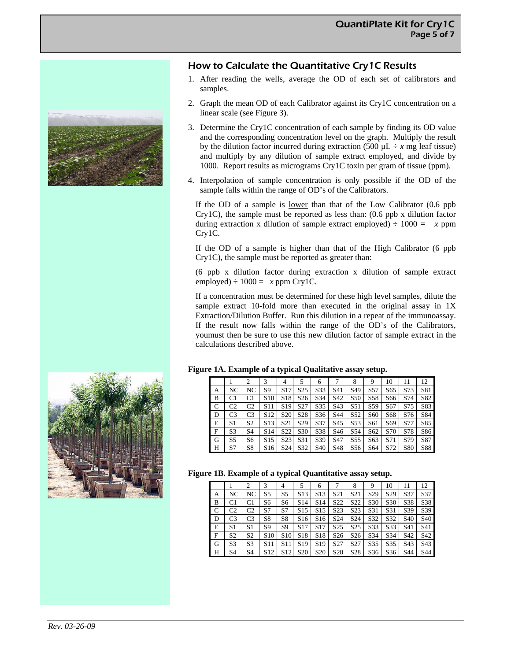

#### How to Calculate the Quantitative Cry1C Results

- 1. After reading the wells, average the OD of each set of calibrators and samples.
- 2. Graph the mean OD of each Calibrator against its Cry1C concentration on a linear scale (see Figure 3).
- 3. Determine the Cry1C concentration of each sample by finding its OD value and the corresponding concentration level on the graph. Multiply the result by the dilution factor incurred during extraction (500  $\mu$ L ÷ *x* mg leaf tissue) and multiply by any dilution of sample extract employed, and divide by 1000. Report results as micrograms Cry1C toxin per gram of tissue (ppm).
- 4. Interpolation of sample concentration is only possible if the OD of the sample falls within the range of OD's of the Calibrators.

If the OD of a sample is lower than that of the Low Calibrator (0.6 ppb Cry1C), the sample must be reported as less than: (0.6 ppb x dilution factor during extraction x dilution of sample extract employed)  $\div 1000 = x$  ppm Cry1C.

If the OD of a sample is higher than that of the High Calibrator (6 ppb Cry1C), the sample must be reported as greater than:

(6 ppb x dilution factor during extraction x dilution of sample extract employed)  $\div 1000 = x$  ppm Cry1C.

If a concentration must be determined for these high level samples, dilute the sample extract 10-fold more than executed in the original assay in 1X Extraction/Dilution Buffer. Run this dilution in a repeat of the immunoassay. If the result now falls within the range of the OD's of the Calibrators, youmust then be sure to use this new dilution factor of sample extract in the calculations described above.



#### **Figure 1A. Example of a typical Qualitative assay setup.**

|   |                | 2              |                 | 4               | 5               | 6               |                 | 8               | 9               | 10  | 11  | 12  |
|---|----------------|----------------|-----------------|-----------------|-----------------|-----------------|-----------------|-----------------|-----------------|-----|-----|-----|
| А | NC             | NC             | S9              | S <sub>17</sub> | S <sub>25</sub> | S33             | S41             | S <sub>49</sub> | S57             | S65 | S73 | S81 |
| B | C1             | C1             | S10             | S <sub>18</sub> | S <sub>26</sub> | S34             | S42             | S <sub>50</sub> | S58             | S66 | S74 | S82 |
| C | C <sub>2</sub> | C2             | S11             | S <sub>19</sub> | S <sub>27</sub> | S35             | S43             | S51             | S59             | S67 | S75 | S83 |
| D | C3             | C3             | S <sub>12</sub> | S <sub>20</sub> | S28             | S <sub>36</sub> | S44             | S <sub>52</sub> | S <sub>60</sub> | S68 | S76 | S84 |
| Е | S1             | S2             | S13             | S21             | S <sub>29</sub> | S37             | S45             | S53             | S61             | S69 | S77 | S85 |
| F | S <sub>3</sub> | S <sub>4</sub> | S <sub>14</sub> | S <sub>22</sub> | S <sub>30</sub> | S38             | S <sub>46</sub> | S <sub>54</sub> | S62             | S70 | S78 | S86 |
| G | S5             | S6             | S15             | S <sub>23</sub> | S31             | S39             | S <sub>47</sub> | S <sub>55</sub> | S <sub>63</sub> | S71 | S79 | S87 |
| Н | S7             | S8             | S <sub>16</sub> | S <sub>24</sub> | S32             | S <sub>40</sub> | S48             | S56             | S64             | S72 | S80 | S88 |

#### **Figure 1B. Example of a typical Quantitative assay setup.**

|   |                | 2  | 3               | $\overline{4}$  |                 | 6               |                  | 8                | 9               | 10              | 11              | 12              |
|---|----------------|----|-----------------|-----------------|-----------------|-----------------|------------------|------------------|-----------------|-----------------|-----------------|-----------------|
| А | NC             | NC | S <sub>5</sub>  | S5              | S <sub>13</sub> | S <sub>13</sub> | S <sub>21</sub>  | S <sub>21</sub>  | S <sub>29</sub> | S <sub>29</sub> | S37             | S37             |
| B | C1             | C1 | S6              | S <sub>6</sub>  | S <sub>14</sub> | S <sub>14</sub> | S22              | S <sub>22</sub>  | S30             | S30             | S38             | S38             |
| C | C2             | C2 | S7              | S7              | S <sub>15</sub> | S <sub>15</sub> | S <sub>2</sub> 3 | S <sub>2</sub> 3 | S31             | S31             | S39             | S39             |
| D | C3             | C3 | S8              | S8              | S <sub>16</sub> | S <sub>16</sub> | S <sub>24</sub>  | S <sub>24</sub>  | S32             | S32             | S <sub>40</sub> | S <sub>40</sub> |
| E | S <sub>1</sub> | S1 | S9              | S <sub>9</sub>  | S <sub>17</sub> | S <sub>17</sub> | S <sub>25</sub>  | S <sub>25</sub>  | S33             | S33             | S41             | S41             |
| F | S <sub>2</sub> | S2 | S <sub>10</sub> | S <sub>10</sub> | S <sub>18</sub> | S <sub>18</sub> | S <sub>26</sub>  | S <sub>26</sub>  | S34             | S34             | S42             | S42             |
| G | S3             | S3 | S <sub>11</sub> | S <sub>11</sub> | S <sub>19</sub> | S <sub>19</sub> | S27              | S <sub>27</sub>  | S35             | S35             | S <sub>43</sub> | S43             |
| Н | S4             | S4 | S <sub>12</sub> | S <sub>12</sub> | S <sub>20</sub> | S <sub>20</sub> | S <sub>28</sub>  | S <sub>28</sub>  | S <sub>36</sub> | S <sub>36</sub> | S44             | S44             |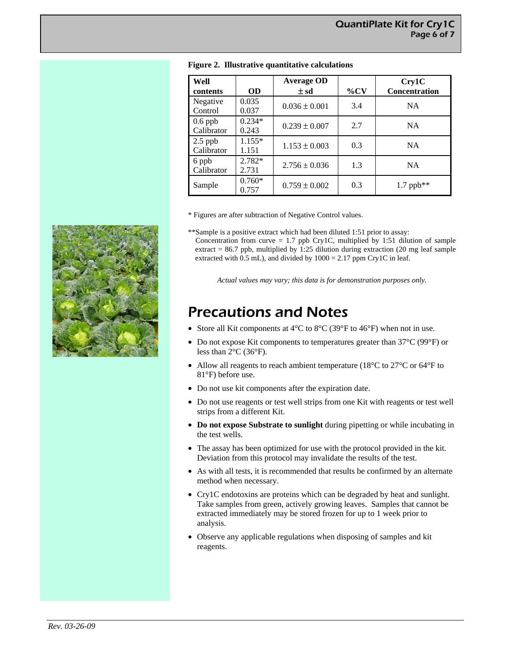| Well                    |                   | <b>Average OD</b> |        | Cry1C                |
|-------------------------|-------------------|-------------------|--------|----------------------|
| contents                | <b>OD</b>         | $\pm$ sd          | $\%CV$ | <b>Concentration</b> |
| Negative<br>Control     | 0.035<br>0.037    | $0.036 \pm 0.001$ | 3.4    | <b>NA</b>            |
| $0.6$ ppb<br>Calibrator | $0.234*$<br>0.243 | $0.239 \pm 0.007$ | 2.7    | <b>NA</b>            |
| $2.5$ ppb<br>Calibrator | $1.155*$<br>1.151 | $1.153 \pm 0.003$ | 0.3    | <b>NA</b>            |
| 6 ppb<br>Calibrator     | $2.782*$<br>2.731 | $2.756 \pm 0.036$ | 1.3    | <b>NA</b>            |
| Sample                  | $0.760*$<br>0.757 | $0.759 \pm 0.002$ | 0.3    | $1.7$ ppb**          |

#### **Figure 2. Illustrative quantitative calculations**

\* Figures are after subtraction of Negative Control values.

\*\*Sample is a positive extract which had been diluted 1:51 prior to assay: Concentration from curve =  $1.7$  ppb Cry1C, multiplied by 1:51 dilution of sample extract =  $86.7$  ppb, multiplied by 1:25 dilution during extraction (20 mg leaf sample extracted with  $0.5$  mL), and divided by  $1000 = 2.17$  ppm Cry1C in leaf.

*Actual values may vary; this data is for demonstration purposes only.* 

### Precautions and Notes

- Store all Kit components at  $4^{\circ}$ C to  $8^{\circ}$ C (39 $^{\circ}$ F to  $46^{\circ}$ F) when not in use.
- Do not expose Kit components to temperatures greater than 37°C (99°F) or less than  $2^{\circ}$ C (36 $^{\circ}$ F).
- Allow all reagents to reach ambient temperature (18 $^{\circ}$ C to 27 $^{\circ}$ C or 64 $^{\circ}$ F to 81°F) before use.
- Do not use kit components after the expiration date.
- Do not use reagents or test well strips from one Kit with reagents or test well strips from a different Kit.
- **Do not expose Substrate to sunlight** during pipetting or while incubating in the test wells.
- The assay has been optimized for use with the protocol provided in the kit. Deviation from this protocol may invalidate the results of the test.
- As with all tests, it is recommended that results be confirmed by an alternate method when necessary.
- Cry1C endotoxins are proteins which can be degraded by heat and sunlight. Take samples from green, actively growing leaves. Samples that cannot be extracted immediately may be stored frozen for up to 1 week prior to analysis.
- Observe any applicable regulations when disposing of samples and kit reagents.